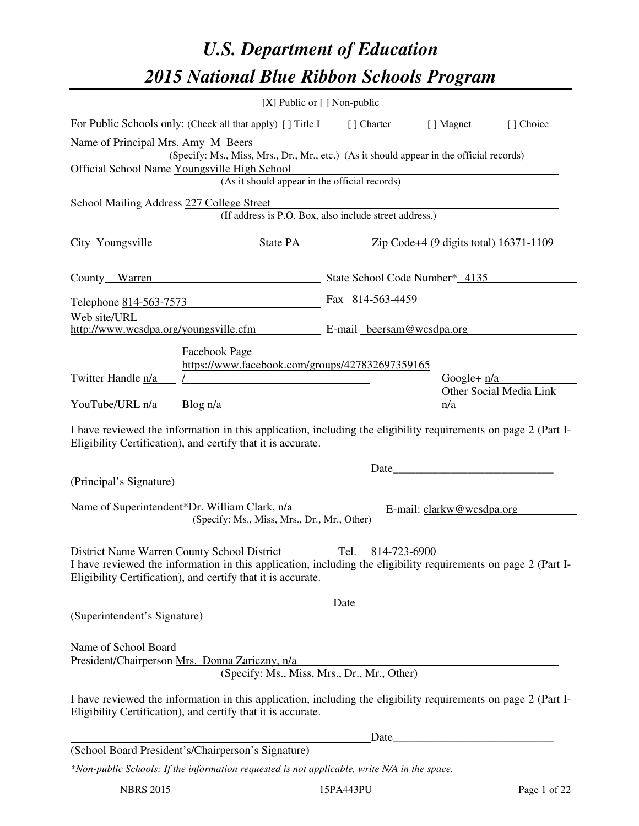# *U.S. Department of Education 2015 National Blue Ribbon Schools Program*

|                                                                                          | [X] Public or [] Non-public                                                                                                                                                                                                   |                   |                                            |                         |  |  |
|------------------------------------------------------------------------------------------|-------------------------------------------------------------------------------------------------------------------------------------------------------------------------------------------------------------------------------|-------------------|--------------------------------------------|-------------------------|--|--|
|                                                                                          | For Public Schools only: (Check all that apply) [] Title I [] Charter                                                                                                                                                         |                   | [ ] Magnet                                 | [] Choice               |  |  |
| Name of Principal Mrs. Amy M Beers                                                       |                                                                                                                                                                                                                               |                   |                                            |                         |  |  |
| (Specify: Ms., Miss, Mrs., Dr., Mr., etc.) (As it should appear in the official records) |                                                                                                                                                                                                                               |                   |                                            |                         |  |  |
|                                                                                          | Official School Name Youngsville High School<br>(As it should appear in the official records)                                                                                                                                 |                   |                                            |                         |  |  |
| School Mailing Address 227 College Street                                                |                                                                                                                                                                                                                               |                   |                                            |                         |  |  |
|                                                                                          | (If address is P.O. Box, also include street address.)                                                                                                                                                                        |                   |                                            |                         |  |  |
|                                                                                          | City Youngsville State PA Zip Code+4 (9 digits total) 16371-1109                                                                                                                                                              |                   |                                            |                         |  |  |
|                                                                                          | County_Warren March 2013 State School Code Number* 4135                                                                                                                                                                       |                   |                                            |                         |  |  |
|                                                                                          | Telephone 814-563-7573                                                                                                                                                                                                        | Fax 814-563-4459  |                                            |                         |  |  |
| Web site/URL                                                                             |                                                                                                                                                                                                                               |                   |                                            |                         |  |  |
|                                                                                          | http://www.wcsdpa.org/youngsville.cfm E-mail beersam@wcsdpa.org                                                                                                                                                               |                   |                                            |                         |  |  |
| Twitter Handle n/a                                                                       | Facebook Page<br>https://www.facebook.com/groups/427832697359165                                                                                                                                                              |                   | Google+ $n/a$                              | Other Social Media Link |  |  |
|                                                                                          | YouTube/URL $\frac{n}{a}$ Blog $\frac{n}{a}$                                                                                                                                                                                  |                   | n/a                                        |                         |  |  |
|                                                                                          | I have reviewed the information in this application, including the eligibility requirements on page 2 (Part I-<br>Eligibility Certification), and certify that it is accurate.                                                |                   |                                            |                         |  |  |
|                                                                                          |                                                                                                                                                                                                                               | Date_             | <u> 1980 - Johann Stein, mars et al. (</u> |                         |  |  |
| (Principal's Signature)                                                                  |                                                                                                                                                                                                                               |                   |                                            |                         |  |  |
|                                                                                          | Name of Superintendent*Dr. William Clark, n/a<br>(Specify: Ms., Miss, Mrs., Dr., Mr., Other)                                                                                                                                  |                   | E-mail: clarkw@wcsdpa.org                  |                         |  |  |
|                                                                                          | District Name Warren County School District<br>I have reviewed the information in this application, including the eligibility requirements on page 2 (Part I-<br>Eligibility Certification), and certify that it is accurate. | Tel. 814-723-6900 |                                            |                         |  |  |
| (Superintendent's Signature)                                                             |                                                                                                                                                                                                                               |                   | Date                                       |                         |  |  |
| Name of School Board<br>President/Chairperson Mrs. Donna Zariczny, n/a                   | (Specify: Ms., Miss, Mrs., Dr., Mr., Other)<br>I have reviewed the information in this application, including the eligibility requirements on page 2 (Part I-<br>Eligibility Certification), and certify that it is accurate. |                   |                                            |                         |  |  |
|                                                                                          |                                                                                                                                                                                                                               |                   |                                            |                         |  |  |
|                                                                                          | (School Board President's/Chairperson's Signature)                                                                                                                                                                            |                   |                                            |                         |  |  |
|                                                                                          | *Non-public Schools: If the information requested is not applicable, write N/A in the space.                                                                                                                                  |                   |                                            |                         |  |  |

NBRS 2015 15PA443PU Page 1 of 22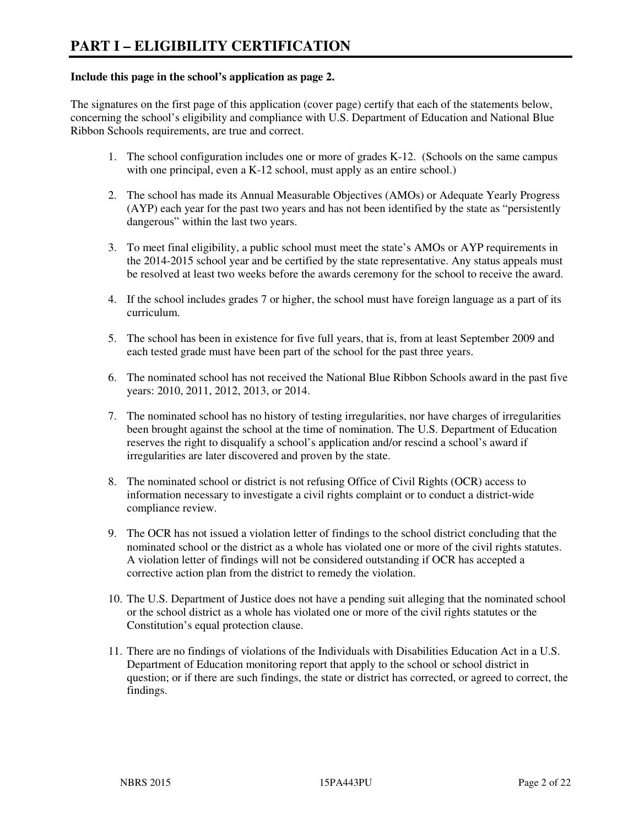#### **Include this page in the school's application as page 2.**

The signatures on the first page of this application (cover page) certify that each of the statements below, concerning the school's eligibility and compliance with U.S. Department of Education and National Blue Ribbon Schools requirements, are true and correct.

- 1. The school configuration includes one or more of grades K-12. (Schools on the same campus with one principal, even a K-12 school, must apply as an entire school.)
- 2. The school has made its Annual Measurable Objectives (AMOs) or Adequate Yearly Progress (AYP) each year for the past two years and has not been identified by the state as "persistently dangerous" within the last two years.
- 3. To meet final eligibility, a public school must meet the state's AMOs or AYP requirements in the 2014-2015 school year and be certified by the state representative. Any status appeals must be resolved at least two weeks before the awards ceremony for the school to receive the award.
- 4. If the school includes grades 7 or higher, the school must have foreign language as a part of its curriculum.
- 5. The school has been in existence for five full years, that is, from at least September 2009 and each tested grade must have been part of the school for the past three years.
- 6. The nominated school has not received the National Blue Ribbon Schools award in the past five years: 2010, 2011, 2012, 2013, or 2014.
- 7. The nominated school has no history of testing irregularities, nor have charges of irregularities been brought against the school at the time of nomination. The U.S. Department of Education reserves the right to disqualify a school's application and/or rescind a school's award if irregularities are later discovered and proven by the state.
- 8. The nominated school or district is not refusing Office of Civil Rights (OCR) access to information necessary to investigate a civil rights complaint or to conduct a district-wide compliance review.
- 9. The OCR has not issued a violation letter of findings to the school district concluding that the nominated school or the district as a whole has violated one or more of the civil rights statutes. A violation letter of findings will not be considered outstanding if OCR has accepted a corrective action plan from the district to remedy the violation.
- 10. The U.S. Department of Justice does not have a pending suit alleging that the nominated school or the school district as a whole has violated one or more of the civil rights statutes or the Constitution's equal protection clause.
- 11. There are no findings of violations of the Individuals with Disabilities Education Act in a U.S. Department of Education monitoring report that apply to the school or school district in question; or if there are such findings, the state or district has corrected, or agreed to correct, the findings.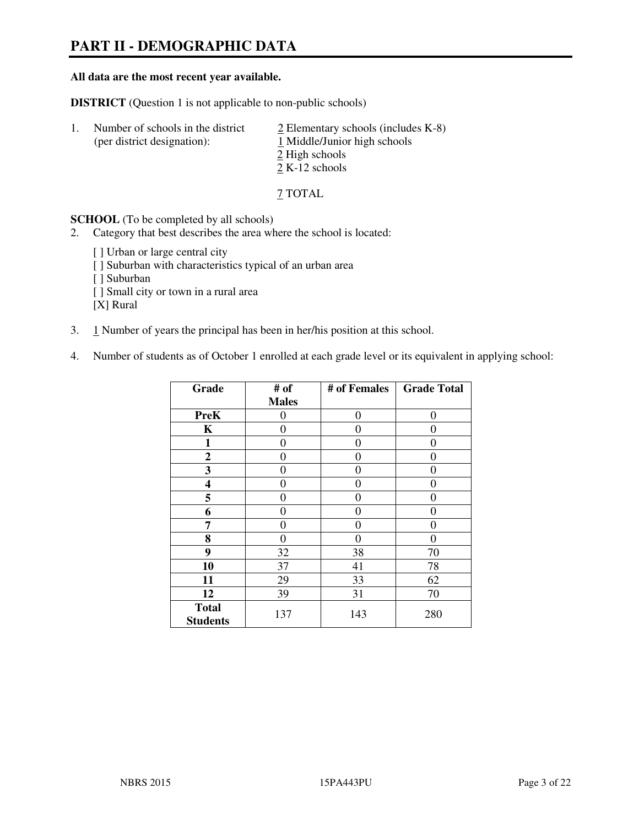# **PART II - DEMOGRAPHIC DATA**

#### **All data are the most recent year available.**

**DISTRICT** (Question 1 is not applicable to non-public schools)

| -1. | Number of schools in the district<br>(per district designation): | $\angle$ Elementary schools (includes K-8)<br>1 Middle/Junior high schools<br>2 High schools |
|-----|------------------------------------------------------------------|----------------------------------------------------------------------------------------------|
|     |                                                                  |                                                                                              |
|     |                                                                  | $2 K-12$ schools                                                                             |
|     |                                                                  |                                                                                              |

7 TOTAL

**SCHOOL** (To be completed by all schools)

2. Category that best describes the area where the school is located:

[ ] Urban or large central city [ ] Suburban with characteristics typical of an urban area [ ] Suburban [ ] Small city or town in a rural area [X] Rural

- 3. 1 Number of years the principal has been in her/his position at this school.
- 4. Number of students as of October 1 enrolled at each grade level or its equivalent in applying school:

| Grade                           | # of         | # of Females   | <b>Grade Total</b> |
|---------------------------------|--------------|----------------|--------------------|
|                                 | <b>Males</b> |                |                    |
| <b>PreK</b>                     | 0            | $\theta$       | $\theta$           |
| K                               | 0            | 0              | 0                  |
| $\mathbf{1}$                    | 0            | 0              | $\theta$           |
| $\boldsymbol{2}$                | 0            | 0              | 0                  |
| 3                               | 0            | 0              | $\theta$           |
| 4                               | 0            | 0              | 0                  |
| 5                               | 0            | 0              | $\theta$           |
| 6                               | 0            | 0              | 0                  |
| 7                               | 0            | $\overline{0}$ | 0                  |
| 8                               | 0            | 0              | 0                  |
| 9                               | 32           | 38             | 70                 |
| 10                              | 37           | 41             | 78                 |
| 11                              | 29           | 33             | 62                 |
| 12                              | 39           | 31             | 70                 |
| <b>Total</b><br><b>Students</b> | 137          | 143            | 280                |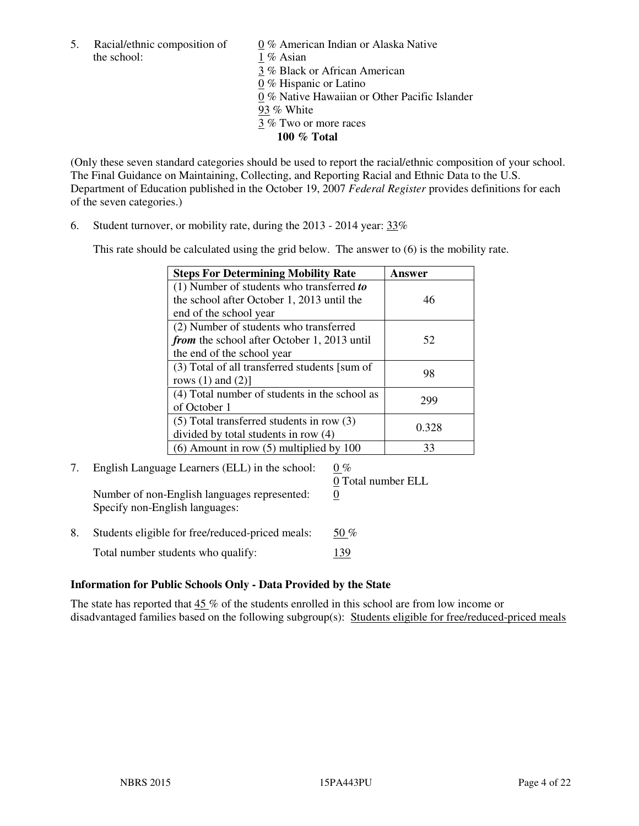5. Racial/ethnic composition of  $0\%$  American Indian or Alaska Native the school: 1 % Asian

 3 % Black or African American 0 % Hispanic or Latino 0 % Native Hawaiian or Other Pacific Islander 93 % White 3 % Two or more races **100 % Total** 

(Only these seven standard categories should be used to report the racial/ethnic composition of your school. The Final Guidance on Maintaining, Collecting, and Reporting Racial and Ethnic Data to the U.S. Department of Education published in the October 19, 2007 *Federal Register* provides definitions for each of the seven categories.)

6. Student turnover, or mobility rate, during the 2013 - 2014 year: 33%

This rate should be calculated using the grid below. The answer to (6) is the mobility rate.

| <b>Steps For Determining Mobility Rate</b>    | <b>Answer</b> |
|-----------------------------------------------|---------------|
| $(1)$ Number of students who transferred to   |               |
| the school after October 1, 2013 until the    | 46            |
| end of the school year                        |               |
| (2) Number of students who transferred        |               |
| from the school after October 1, 2013 until   | 52            |
| the end of the school year                    |               |
| (3) Total of all transferred students [sum of | 98            |
| rows $(1)$ and $(2)$ ]                        |               |
| (4) Total number of students in the school as | 299           |
| of October 1                                  |               |
| $(5)$ Total transferred students in row $(3)$ | 0.328         |
| divided by total students in row (4)          |               |
| $(6)$ Amount in row $(5)$ multiplied by 100   | 33            |

# 7. English Language Learners (ELL) in the school:  $0\%$

Number of non-English languages represented: 0 Specify non-English languages:

0 Total number ELL

8. Students eligible for free/reduced-priced meals:  $50\%$ Total number students who qualify: 139

## **Information for Public Schools Only - Data Provided by the State**

The state has reported that  $45\%$  of the students enrolled in this school are from low income or disadvantaged families based on the following subgroup(s): Students eligible for free/reduced-priced meals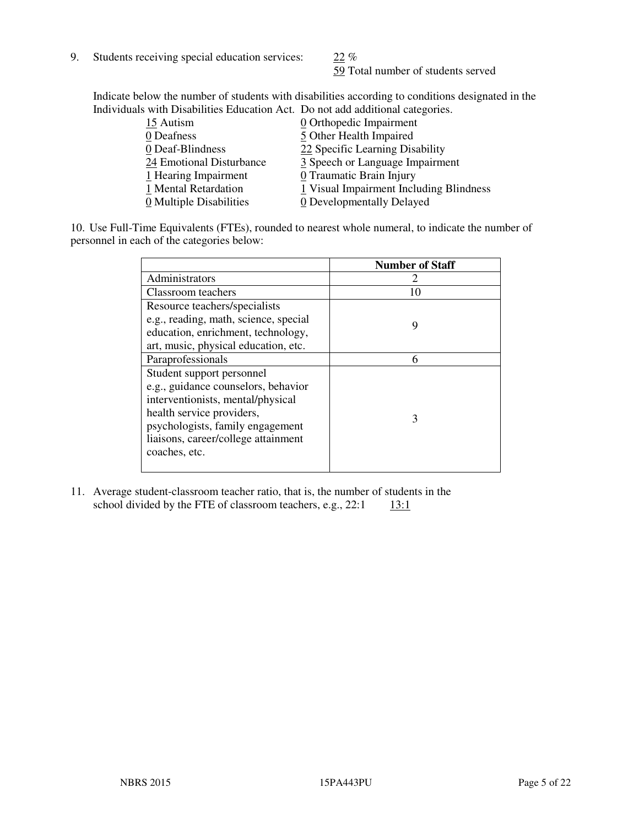9. Students receiving special education services: 22 %

59 Total number of students served

Indicate below the number of students with disabilities according to conditions designated in the Individuals with Disabilities Education Act. Do not add additional categories.

| 15 Autism                | $\underline{0}$ Orthopedic Impairment   |
|--------------------------|-----------------------------------------|
| 0 Deafness               | 5 Other Health Impaired                 |
| 0 Deaf-Blindness         | 22 Specific Learning Disability         |
| 24 Emotional Disturbance | 3 Speech or Language Impairment         |
| 1 Hearing Impairment     | 0 Traumatic Brain Injury                |
| 1 Mental Retardation     | 1 Visual Impairment Including Blindness |
| 0 Multiple Disabilities  | 0 Developmentally Delayed               |
|                          |                                         |

10. Use Full-Time Equivalents (FTEs), rounded to nearest whole numeral, to indicate the number of personnel in each of the categories below:

|                                       | <b>Number of Staff</b> |
|---------------------------------------|------------------------|
| Administrators                        |                        |
| Classroom teachers                    | 10                     |
| Resource teachers/specialists         |                        |
| e.g., reading, math, science, special | 9                      |
| education, enrichment, technology,    |                        |
| art, music, physical education, etc.  |                        |
| Paraprofessionals                     | 6                      |
| Student support personnel             |                        |
| e.g., guidance counselors, behavior   |                        |
| interventionists, mental/physical     |                        |
| health service providers,             | 3                      |
| psychologists, family engagement      |                        |
| liaisons, career/college attainment   |                        |
| coaches, etc.                         |                        |
|                                       |                        |

11. Average student-classroom teacher ratio, that is, the number of students in the school divided by the FTE of classroom teachers, e.g.,  $22:1$  13:1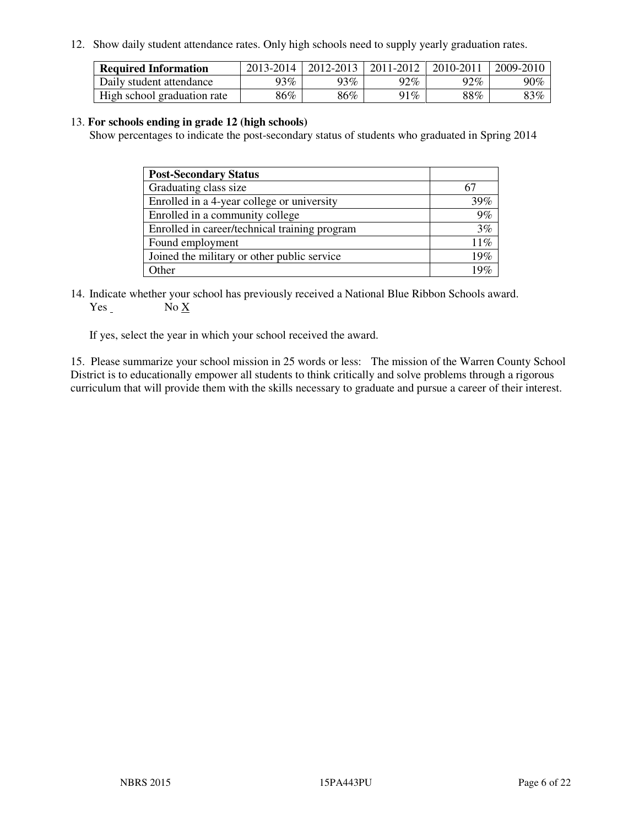12. Show daily student attendance rates. Only high schools need to supply yearly graduation rates.

| <b>Required Information</b> | 2013-2014 | 2012-2013 | 2011-2012 | 2010-2011 | 2009-2010 |
|-----------------------------|-----------|-----------|-----------|-----------|-----------|
| Daily student attendance    | 93%       | 93%       | 92%       | 92%       | 90%       |
| High school graduation rate | 86%       | 86%       | $91\%$    | $88\%$    | $83\%$    |

#### 13. **For schools ending in grade 12 (high schools)**

Show percentages to indicate the post-secondary status of students who graduated in Spring 2014

| <b>Post-Secondary Status</b>                  |     |
|-----------------------------------------------|-----|
| Graduating class size                         |     |
| Enrolled in a 4-year college or university    | 39% |
| Enrolled in a community college               | 9%  |
| Enrolled in career/technical training program | 3%  |
| Found employment                              | 11% |
| Joined the military or other public service   | 19% |
| Other                                         |     |

14. Indicate whether your school has previously received a National Blue Ribbon Schools award. Yes No X

If yes, select the year in which your school received the award.

15. Please summarize your school mission in 25 words or less: The mission of the Warren County School District is to educationally empower all students to think critically and solve problems through a rigorous curriculum that will provide them with the skills necessary to graduate and pursue a career of their interest.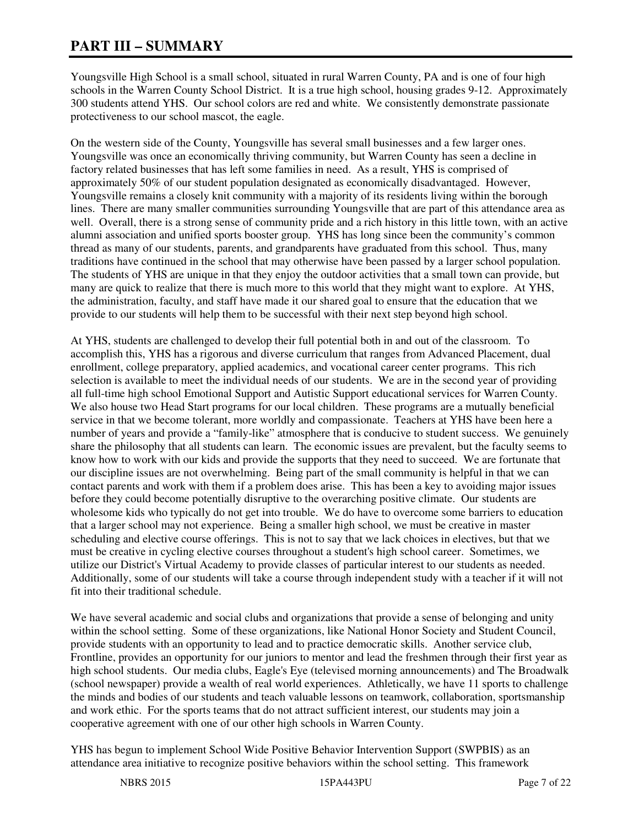# **PART III – SUMMARY**

Youngsville High School is a small school, situated in rural Warren County, PA and is one of four high schools in the Warren County School District. It is a true high school, housing grades 9-12. Approximately 300 students attend YHS. Our school colors are red and white. We consistently demonstrate passionate protectiveness to our school mascot, the eagle.

On the western side of the County, Youngsville has several small businesses and a few larger ones. Youngsville was once an economically thriving community, but Warren County has seen a decline in factory related businesses that has left some families in need. As a result, YHS is comprised of approximately 50% of our student population designated as economically disadvantaged. However, Youngsville remains a closely knit community with a majority of its residents living within the borough lines. There are many smaller communities surrounding Youngsville that are part of this attendance area as well. Overall, there is a strong sense of community pride and a rich history in this little town, with an active alumni association and unified sports booster group. YHS has long since been the community's common thread as many of our students, parents, and grandparents have graduated from this school. Thus, many traditions have continued in the school that may otherwise have been passed by a larger school population. The students of YHS are unique in that they enjoy the outdoor activities that a small town can provide, but many are quick to realize that there is much more to this world that they might want to explore. At YHS, the administration, faculty, and staff have made it our shared goal to ensure that the education that we provide to our students will help them to be successful with their next step beyond high school.

At YHS, students are challenged to develop their full potential both in and out of the classroom. To accomplish this, YHS has a rigorous and diverse curriculum that ranges from Advanced Placement, dual enrollment, college preparatory, applied academics, and vocational career center programs. This rich selection is available to meet the individual needs of our students. We are in the second year of providing all full-time high school Emotional Support and Autistic Support educational services for Warren County. We also house two Head Start programs for our local children. These programs are a mutually beneficial service in that we become tolerant, more worldly and compassionate. Teachers at YHS have been here a number of years and provide a "family-like" atmosphere that is conducive to student success. We genuinely share the philosophy that all students can learn. The economic issues are prevalent, but the faculty seems to know how to work with our kids and provide the supports that they need to succeed. We are fortunate that our discipline issues are not overwhelming. Being part of the small community is helpful in that we can contact parents and work with them if a problem does arise. This has been a key to avoiding major issues before they could become potentially disruptive to the overarching positive climate. Our students are wholesome kids who typically do not get into trouble. We do have to overcome some barriers to education that a larger school may not experience. Being a smaller high school, we must be creative in master scheduling and elective course offerings. This is not to say that we lack choices in electives, but that we must be creative in cycling elective courses throughout a student's high school career. Sometimes, we utilize our District's Virtual Academy to provide classes of particular interest to our students as needed. Additionally, some of our students will take a course through independent study with a teacher if it will not fit into their traditional schedule.

We have several academic and social clubs and organizations that provide a sense of belonging and unity within the school setting. Some of these organizations, like National Honor Society and Student Council, provide students with an opportunity to lead and to practice democratic skills. Another service club, Frontline, provides an opportunity for our juniors to mentor and lead the freshmen through their first year as high school students. Our media clubs, Eagle's Eye (televised morning announcements) and The Broadwalk (school newspaper) provide a wealth of real world experiences. Athletically, we have 11 sports to challenge the minds and bodies of our students and teach valuable lessons on teamwork, collaboration, sportsmanship and work ethic. For the sports teams that do not attract sufficient interest, our students may join a cooperative agreement with one of our other high schools in Warren County.

YHS has begun to implement School Wide Positive Behavior Intervention Support (SWPBIS) as an attendance area initiative to recognize positive behaviors within the school setting. This framework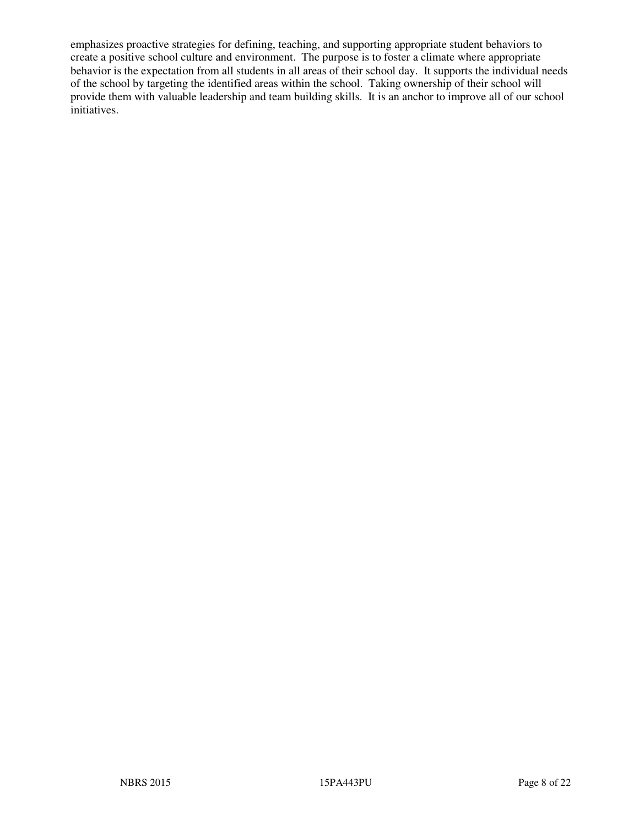emphasizes proactive strategies for defining, teaching, and supporting appropriate student behaviors to create a positive school culture and environment. The purpose is to foster a climate where appropriate behavior is the expectation from all students in all areas of their school day. It supports the individual needs of the school by targeting the identified areas within the school. Taking ownership of their school will provide them with valuable leadership and team building skills. It is an anchor to improve all of our school initiatives.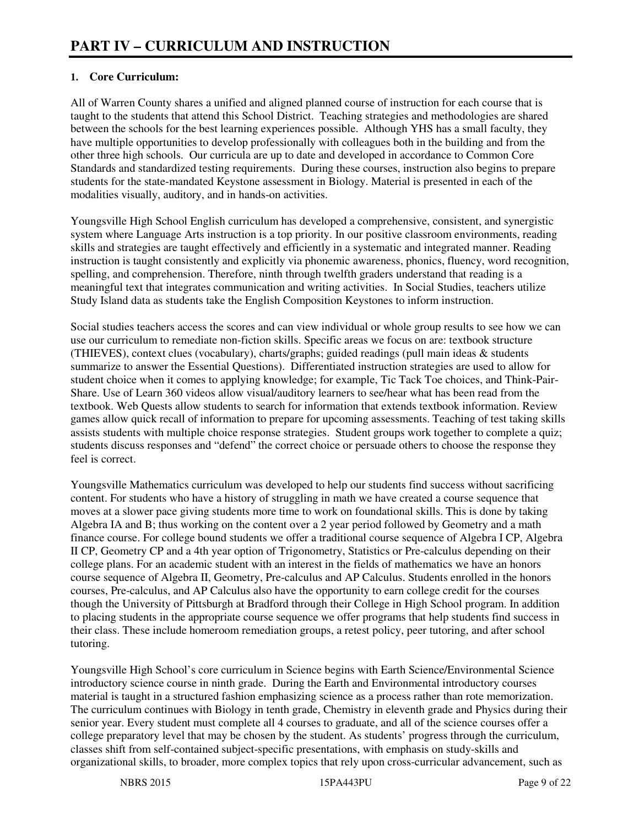## **1. Core Curriculum:**

All of Warren County shares a unified and aligned planned course of instruction for each course that is taught to the students that attend this School District. Teaching strategies and methodologies are shared between the schools for the best learning experiences possible. Although YHS has a small faculty, they have multiple opportunities to develop professionally with colleagues both in the building and from the other three high schools. Our curricula are up to date and developed in accordance to Common Core Standards and standardized testing requirements. During these courses, instruction also begins to prepare students for the state-mandated Keystone assessment in Biology. Material is presented in each of the modalities visually, auditory, and in hands-on activities.

Youngsville High School English curriculum has developed a comprehensive, consistent, and synergistic system where Language Arts instruction is a top priority. In our positive classroom environments, reading skills and strategies are taught effectively and efficiently in a systematic and integrated manner. Reading instruction is taught consistently and explicitly via phonemic awareness, phonics, fluency, word recognition, spelling, and comprehension. Therefore, ninth through twelfth graders understand that reading is a meaningful text that integrates communication and writing activities. In Social Studies, teachers utilize Study Island data as students take the English Composition Keystones to inform instruction.

Social studies teachers access the scores and can view individual or whole group results to see how we can use our curriculum to remediate non-fiction skills. Specific areas we focus on are: textbook structure (THIEVES), context clues (vocabulary), charts/graphs; guided readings (pull main ideas & students summarize to answer the Essential Questions). Differentiated instruction strategies are used to allow for student choice when it comes to applying knowledge; for example, Tic Tack Toe choices, and Think-Pair-Share. Use of Learn 360 videos allow visual/auditory learners to see/hear what has been read from the textbook. Web Quests allow students to search for information that extends textbook information. Review games allow quick recall of information to prepare for upcoming assessments. Teaching of test taking skills assists students with multiple choice response strategies. Student groups work together to complete a quiz; students discuss responses and "defend" the correct choice or persuade others to choose the response they feel is correct.

Youngsville Mathematics curriculum was developed to help our students find success without sacrificing content. For students who have a history of struggling in math we have created a course sequence that moves at a slower pace giving students more time to work on foundational skills. This is done by taking Algebra IA and B; thus working on the content over a 2 year period followed by Geometry and a math finance course. For college bound students we offer a traditional course sequence of Algebra I CP, Algebra II CP, Geometry CP and a 4th year option of Trigonometry, Statistics or Pre-calculus depending on their college plans. For an academic student with an interest in the fields of mathematics we have an honors course sequence of Algebra II, Geometry, Pre-calculus and AP Calculus. Students enrolled in the honors courses, Pre-calculus, and AP Calculus also have the opportunity to earn college credit for the courses though the University of Pittsburgh at Bradford through their College in High School program. In addition to placing students in the appropriate course sequence we offer programs that help students find success in their class. These include homeroom remediation groups, a retest policy, peer tutoring, and after school tutoring.

Youngsville High School's core curriculum in Science begins with Earth Science/Environmental Science introductory science course in ninth grade. During the Earth and Environmental introductory courses material is taught in a structured fashion emphasizing science as a process rather than rote memorization. The curriculum continues with Biology in tenth grade, Chemistry in eleventh grade and Physics during their senior year. Every student must complete all 4 courses to graduate, and all of the science courses offer a college preparatory level that may be chosen by the student. As students' progress through the curriculum, classes shift from self-contained subject-specific presentations, with emphasis on study-skills and organizational skills, to broader, more complex topics that rely upon cross-curricular advancement, such as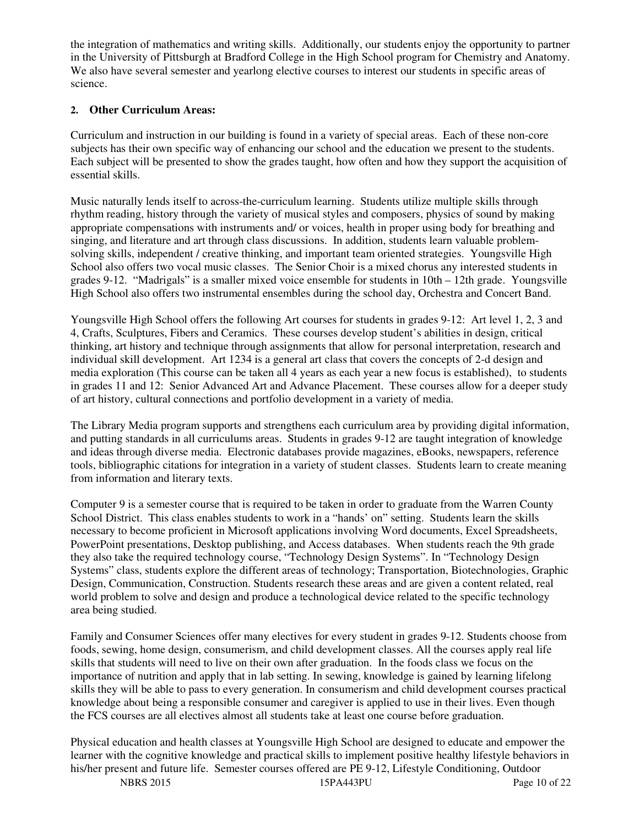the integration of mathematics and writing skills. Additionally, our students enjoy the opportunity to partner in the University of Pittsburgh at Bradford College in the High School program for Chemistry and Anatomy. We also have several semester and yearlong elective courses to interest our students in specific areas of science.

### **2. Other Curriculum Areas:**

Curriculum and instruction in our building is found in a variety of special areas. Each of these non-core subjects has their own specific way of enhancing our school and the education we present to the students. Each subject will be presented to show the grades taught, how often and how they support the acquisition of essential skills.

Music naturally lends itself to across-the-curriculum learning. Students utilize multiple skills through rhythm reading, history through the variety of musical styles and composers, physics of sound by making appropriate compensations with instruments and/ or voices, health in proper using body for breathing and singing, and literature and art through class discussions. In addition, students learn valuable problemsolving skills, independent / creative thinking, and important team oriented strategies. Youngsville High School also offers two vocal music classes. The Senior Choir is a mixed chorus any interested students in grades 9-12. "Madrigals" is a smaller mixed voice ensemble for students in 10th – 12th grade. Youngsville High School also offers two instrumental ensembles during the school day, Orchestra and Concert Band.

Youngsville High School offers the following Art courses for students in grades 9-12: Art level 1, 2, 3 and 4, Crafts, Sculptures, Fibers and Ceramics. These courses develop student's abilities in design, critical thinking, art history and technique through assignments that allow for personal interpretation, research and individual skill development. Art 1234 is a general art class that covers the concepts of 2-d design and media exploration (This course can be taken all 4 years as each year a new focus is established), to students in grades 11 and 12: Senior Advanced Art and Advance Placement. These courses allow for a deeper study of art history, cultural connections and portfolio development in a variety of media.

The Library Media program supports and strengthens each curriculum area by providing digital information, and putting standards in all curriculums areas. Students in grades 9-12 are taught integration of knowledge and ideas through diverse media. Electronic databases provide magazines, eBooks, newspapers, reference tools, bibliographic citations for integration in a variety of student classes. Students learn to create meaning from information and literary texts.

Computer 9 is a semester course that is required to be taken in order to graduate from the Warren County School District. This class enables students to work in a "hands' on" setting. Students learn the skills necessary to become proficient in Microsoft applications involving Word documents, Excel Spreadsheets, PowerPoint presentations, Desktop publishing, and Access databases. When students reach the 9th grade they also take the required technology course, "Technology Design Systems". In "Technology Design Systems" class, students explore the different areas of technology; Transportation, Biotechnologies, Graphic Design, Communication, Construction. Students research these areas and are given a content related, real world problem to solve and design and produce a technological device related to the specific technology area being studied.

Family and Consumer Sciences offer many electives for every student in grades 9-12. Students choose from foods, sewing, home design, consumerism, and child development classes. All the courses apply real life skills that students will need to live on their own after graduation. In the foods class we focus on the importance of nutrition and apply that in lab setting. In sewing, knowledge is gained by learning lifelong skills they will be able to pass to every generation. In consumerism and child development courses practical knowledge about being a responsible consumer and caregiver is applied to use in their lives. Even though the FCS courses are all electives almost all students take at least one course before graduation.

Physical education and health classes at Youngsville High School are designed to educate and empower the learner with the cognitive knowledge and practical skills to implement positive healthy lifestyle behaviors in his/her present and future life. Semester courses offered are PE 9-12, Lifestyle Conditioning, Outdoor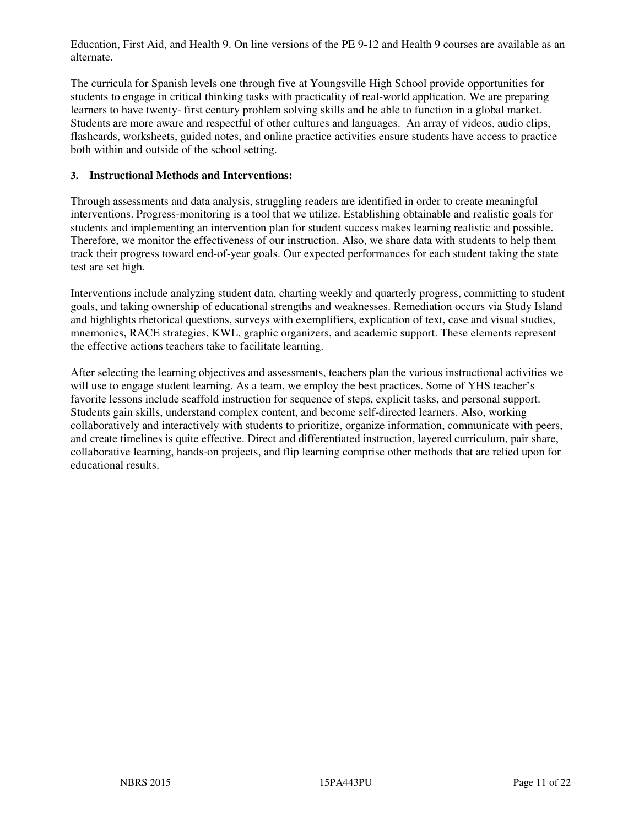Education, First Aid, and Health 9. On line versions of the PE 9-12 and Health 9 courses are available as an alternate.

The curricula for Spanish levels one through five at Youngsville High School provide opportunities for students to engage in critical thinking tasks with practicality of real-world application. We are preparing learners to have twenty- first century problem solving skills and be able to function in a global market. Students are more aware and respectful of other cultures and languages. An array of videos, audio clips, flashcards, worksheets, guided notes, and online practice activities ensure students have access to practice both within and outside of the school setting.

#### **3. Instructional Methods and Interventions:**

Through assessments and data analysis, struggling readers are identified in order to create meaningful interventions. Progress-monitoring is a tool that we utilize. Establishing obtainable and realistic goals for students and implementing an intervention plan for student success makes learning realistic and possible. Therefore, we monitor the effectiveness of our instruction. Also, we share data with students to help them track their progress toward end-of-year goals. Our expected performances for each student taking the state test are set high.

Interventions include analyzing student data, charting weekly and quarterly progress, committing to student goals, and taking ownership of educational strengths and weaknesses. Remediation occurs via Study Island and highlights rhetorical questions, surveys with exemplifiers, explication of text, case and visual studies, mnemonics, RACE strategies, KWL, graphic organizers, and academic support. These elements represent the effective actions teachers take to facilitate learning.

After selecting the learning objectives and assessments, teachers plan the various instructional activities we will use to engage student learning. As a team, we employ the best practices. Some of YHS teacher's favorite lessons include scaffold instruction for sequence of steps, explicit tasks, and personal support. Students gain skills, understand complex content, and become self-directed learners. Also, working collaboratively and interactively with students to prioritize, organize information, communicate with peers, and create timelines is quite effective. Direct and differentiated instruction, layered curriculum, pair share, collaborative learning, hands-on projects, and flip learning comprise other methods that are relied upon for educational results.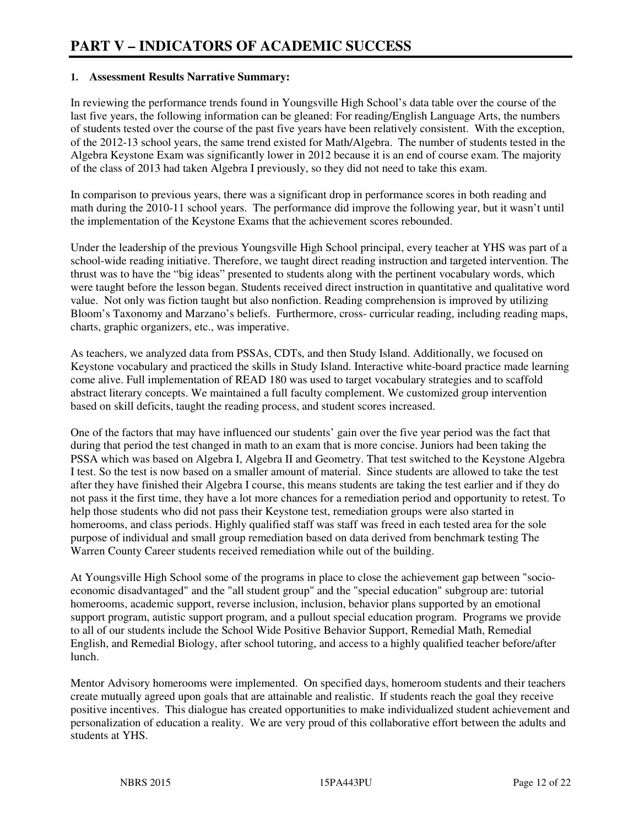#### **1. Assessment Results Narrative Summary:**

In reviewing the performance trends found in Youngsville High School's data table over the course of the last five years, the following information can be gleaned: For reading/English Language Arts, the numbers of students tested over the course of the past five years have been relatively consistent. With the exception, of the 2012-13 school years, the same trend existed for Math/Algebra. The number of students tested in the Algebra Keystone Exam was significantly lower in 2012 because it is an end of course exam. The majority of the class of 2013 had taken Algebra I previously, so they did not need to take this exam.

In comparison to previous years, there was a significant drop in performance scores in both reading and math during the 2010-11 school years. The performance did improve the following year, but it wasn't until the implementation of the Keystone Exams that the achievement scores rebounded.

Under the leadership of the previous Youngsville High School principal, every teacher at YHS was part of a school-wide reading initiative. Therefore, we taught direct reading instruction and targeted intervention. The thrust was to have the "big ideas" presented to students along with the pertinent vocabulary words, which were taught before the lesson began. Students received direct instruction in quantitative and qualitative word value. Not only was fiction taught but also nonfiction. Reading comprehension is improved by utilizing Bloom's Taxonomy and Marzano's beliefs. Furthermore, cross- curricular reading, including reading maps, charts, graphic organizers, etc., was imperative.

As teachers, we analyzed data from PSSAs, CDTs, and then Study Island. Additionally, we focused on Keystone vocabulary and practiced the skills in Study Island. Interactive white-board practice made learning come alive. Full implementation of READ 180 was used to target vocabulary strategies and to scaffold abstract literary concepts. We maintained a full faculty complement. We customized group intervention based on skill deficits, taught the reading process, and student scores increased.

One of the factors that may have influenced our students' gain over the five year period was the fact that during that period the test changed in math to an exam that is more concise. Juniors had been taking the PSSA which was based on Algebra I, Algebra II and Geometry. That test switched to the Keystone Algebra I test. So the test is now based on a smaller amount of material. Since students are allowed to take the test after they have finished their Algebra I course, this means students are taking the test earlier and if they do not pass it the first time, they have a lot more chances for a remediation period and opportunity to retest. To help those students who did not pass their Keystone test, remediation groups were also started in homerooms, and class periods. Highly qualified staff was staff was freed in each tested area for the sole purpose of individual and small group remediation based on data derived from benchmark testing The Warren County Career students received remediation while out of the building.

At Youngsville High School some of the programs in place to close the achievement gap between "socioeconomic disadvantaged" and the "all student group" and the "special education" subgroup are: tutorial homerooms, academic support, reverse inclusion, inclusion, behavior plans supported by an emotional support program, autistic support program, and a pullout special education program. Programs we provide to all of our students include the School Wide Positive Behavior Support, Remedial Math, Remedial English, and Remedial Biology, after school tutoring, and access to a highly qualified teacher before/after lunch.

Mentor Advisory homerooms were implemented. On specified days, homeroom students and their teachers create mutually agreed upon goals that are attainable and realistic. If students reach the goal they receive positive incentives. This dialogue has created opportunities to make individualized student achievement and personalization of education a reality. We are very proud of this collaborative effort between the adults and students at YHS.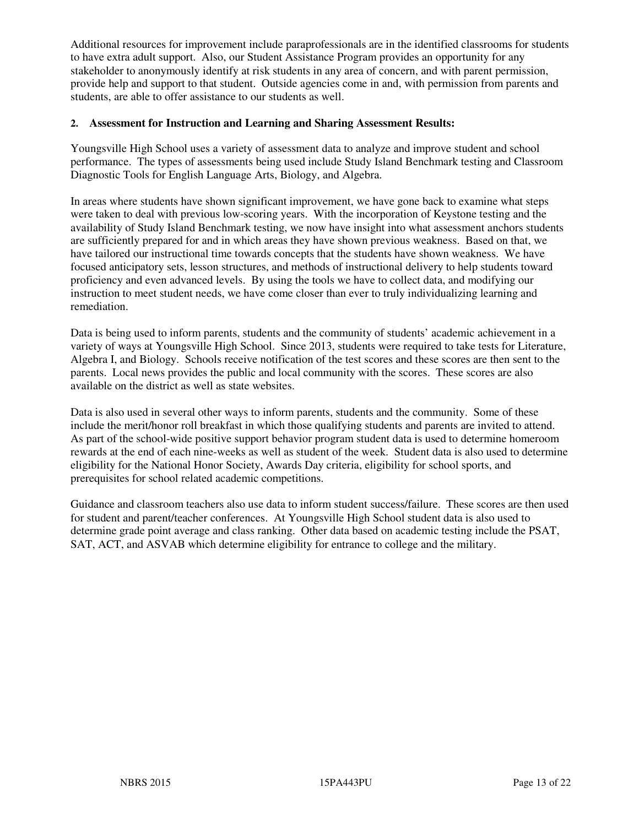Additional resources for improvement include paraprofessionals are in the identified classrooms for students to have extra adult support. Also, our Student Assistance Program provides an opportunity for any stakeholder to anonymously identify at risk students in any area of concern, and with parent permission, provide help and support to that student. Outside agencies come in and, with permission from parents and students, are able to offer assistance to our students as well.

#### **2. Assessment for Instruction and Learning and Sharing Assessment Results:**

Youngsville High School uses a variety of assessment data to analyze and improve student and school performance. The types of assessments being used include Study Island Benchmark testing and Classroom Diagnostic Tools for English Language Arts, Biology, and Algebra.

In areas where students have shown significant improvement, we have gone back to examine what steps were taken to deal with previous low-scoring years. With the incorporation of Keystone testing and the availability of Study Island Benchmark testing, we now have insight into what assessment anchors students are sufficiently prepared for and in which areas they have shown previous weakness. Based on that, we have tailored our instructional time towards concepts that the students have shown weakness. We have focused anticipatory sets, lesson structures, and methods of instructional delivery to help students toward proficiency and even advanced levels. By using the tools we have to collect data, and modifying our instruction to meet student needs, we have come closer than ever to truly individualizing learning and remediation.

Data is being used to inform parents, students and the community of students' academic achievement in a variety of ways at Youngsville High School. Since 2013, students were required to take tests for Literature, Algebra I, and Biology. Schools receive notification of the test scores and these scores are then sent to the parents. Local news provides the public and local community with the scores. These scores are also available on the district as well as state websites.

Data is also used in several other ways to inform parents, students and the community. Some of these include the merit/honor roll breakfast in which those qualifying students and parents are invited to attend. As part of the school-wide positive support behavior program student data is used to determine homeroom rewards at the end of each nine-weeks as well as student of the week. Student data is also used to determine eligibility for the National Honor Society, Awards Day criteria, eligibility for school sports, and prerequisites for school related academic competitions.

Guidance and classroom teachers also use data to inform student success/failure. These scores are then used for student and parent/teacher conferences. At Youngsville High School student data is also used to determine grade point average and class ranking. Other data based on academic testing include the PSAT, SAT, ACT, and ASVAB which determine eligibility for entrance to college and the military.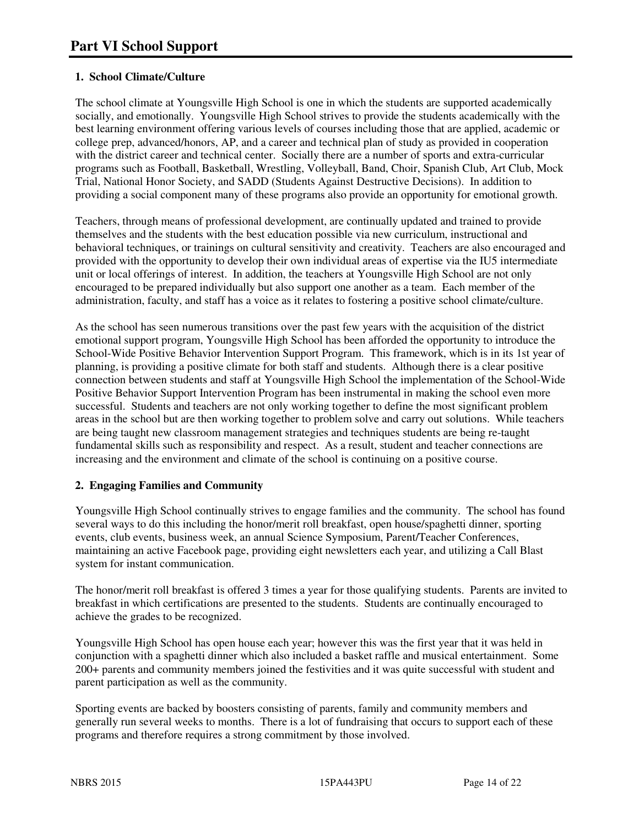# **1. School Climate/Culture**

The school climate at Youngsville High School is one in which the students are supported academically socially, and emotionally. Youngsville High School strives to provide the students academically with the best learning environment offering various levels of courses including those that are applied, academic or college prep, advanced/honors, AP, and a career and technical plan of study as provided in cooperation with the district career and technical center. Socially there are a number of sports and extra-curricular programs such as Football, Basketball, Wrestling, Volleyball, Band, Choir, Spanish Club, Art Club, Mock Trial, National Honor Society, and SADD (Students Against Destructive Decisions). In addition to providing a social component many of these programs also provide an opportunity for emotional growth.

Teachers, through means of professional development, are continually updated and trained to provide themselves and the students with the best education possible via new curriculum, instructional and behavioral techniques, or trainings on cultural sensitivity and creativity. Teachers are also encouraged and provided with the opportunity to develop their own individual areas of expertise via the IU5 intermediate unit or local offerings of interest. In addition, the teachers at Youngsville High School are not only encouraged to be prepared individually but also support one another as a team. Each member of the administration, faculty, and staff has a voice as it relates to fostering a positive school climate/culture.

As the school has seen numerous transitions over the past few years with the acquisition of the district emotional support program, Youngsville High School has been afforded the opportunity to introduce the School-Wide Positive Behavior Intervention Support Program. This framework, which is in its 1st year of planning, is providing a positive climate for both staff and students. Although there is a clear positive connection between students and staff at Youngsville High School the implementation of the School-Wide Positive Behavior Support Intervention Program has been instrumental in making the school even more successful. Students and teachers are not only working together to define the most significant problem areas in the school but are then working together to problem solve and carry out solutions. While teachers are being taught new classroom management strategies and techniques students are being re-taught fundamental skills such as responsibility and respect. As a result, student and teacher connections are increasing and the environment and climate of the school is continuing on a positive course.

## **2. Engaging Families and Community**

Youngsville High School continually strives to engage families and the community. The school has found several ways to do this including the honor/merit roll breakfast, open house/spaghetti dinner, sporting events, club events, business week, an annual Science Symposium, Parent/Teacher Conferences, maintaining an active Facebook page, providing eight newsletters each year, and utilizing a Call Blast system for instant communication.

The honor/merit roll breakfast is offered 3 times a year for those qualifying students. Parents are invited to breakfast in which certifications are presented to the students. Students are continually encouraged to achieve the grades to be recognized.

Youngsville High School has open house each year; however this was the first year that it was held in conjunction with a spaghetti dinner which also included a basket raffle and musical entertainment. Some 200+ parents and community members joined the festivities and it was quite successful with student and parent participation as well as the community.

Sporting events are backed by boosters consisting of parents, family and community members and generally run several weeks to months. There is a lot of fundraising that occurs to support each of these programs and therefore requires a strong commitment by those involved.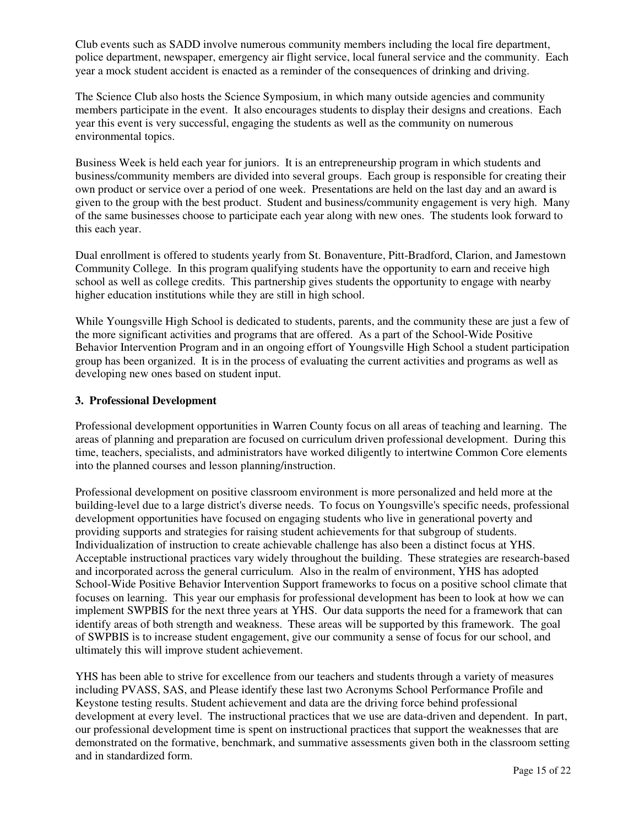Club events such as SADD involve numerous community members including the local fire department, police department, newspaper, emergency air flight service, local funeral service and the community. Each year a mock student accident is enacted as a reminder of the consequences of drinking and driving.

The Science Club also hosts the Science Symposium, in which many outside agencies and community members participate in the event. It also encourages students to display their designs and creations. Each year this event is very successful, engaging the students as well as the community on numerous environmental topics.

Business Week is held each year for juniors. It is an entrepreneurship program in which students and business/community members are divided into several groups. Each group is responsible for creating their own product or service over a period of one week. Presentations are held on the last day and an award is given to the group with the best product. Student and business/community engagement is very high. Many of the same businesses choose to participate each year along with new ones. The students look forward to this each year.

Dual enrollment is offered to students yearly from St. Bonaventure, Pitt-Bradford, Clarion, and Jamestown Community College. In this program qualifying students have the opportunity to earn and receive high school as well as college credits. This partnership gives students the opportunity to engage with nearby higher education institutions while they are still in high school.

While Youngsville High School is dedicated to students, parents, and the community these are just a few of the more significant activities and programs that are offered. As a part of the School-Wide Positive Behavior Intervention Program and in an ongoing effort of Youngsville High School a student participation group has been organized. It is in the process of evaluating the current activities and programs as well as developing new ones based on student input.

#### **3. Professional Development**

Professional development opportunities in Warren County focus on all areas of teaching and learning. The areas of planning and preparation are focused on curriculum driven professional development. During this time, teachers, specialists, and administrators have worked diligently to intertwine Common Core elements into the planned courses and lesson planning/instruction.

Professional development on positive classroom environment is more personalized and held more at the building-level due to a large district's diverse needs. To focus on Youngsville's specific needs, professional development opportunities have focused on engaging students who live in generational poverty and providing supports and strategies for raising student achievements for that subgroup of students. Individualization of instruction to create achievable challenge has also been a distinct focus at YHS. Acceptable instructional practices vary widely throughout the building. These strategies are research-based and incorporated across the general curriculum. Also in the realm of environment, YHS has adopted School-Wide Positive Behavior Intervention Support frameworks to focus on a positive school climate that focuses on learning. This year our emphasis for professional development has been to look at how we can implement SWPBIS for the next three years at YHS. Our data supports the need for a framework that can identify areas of both strength and weakness. These areas will be supported by this framework. The goal of SWPBIS is to increase student engagement, give our community a sense of focus for our school, and ultimately this will improve student achievement.

YHS has been able to strive for excellence from our teachers and students through a variety of measures including PVASS, SAS, and Please identify these last two Acronyms School Performance Profile and Keystone testing results. Student achievement and data are the driving force behind professional development at every level. The instructional practices that we use are data-driven and dependent. In part, our professional development time is spent on instructional practices that support the weaknesses that are demonstrated on the formative, benchmark, and summative assessments given both in the classroom setting and in standardized form.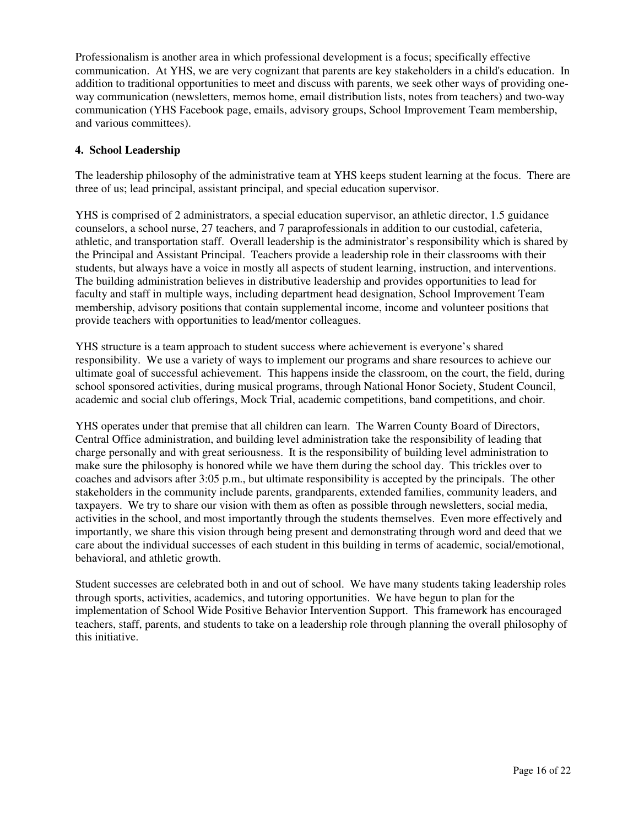Professionalism is another area in which professional development is a focus; specifically effective communication. At YHS, we are very cognizant that parents are key stakeholders in a child's education. In addition to traditional opportunities to meet and discuss with parents, we seek other ways of providing oneway communication (newsletters, memos home, email distribution lists, notes from teachers) and two-way communication (YHS Facebook page, emails, advisory groups, School Improvement Team membership, and various committees).

#### **4. School Leadership**

The leadership philosophy of the administrative team at YHS keeps student learning at the focus. There are three of us; lead principal, assistant principal, and special education supervisor.

YHS is comprised of 2 administrators, a special education supervisor, an athletic director, 1.5 guidance counselors, a school nurse, 27 teachers, and 7 paraprofessionals in addition to our custodial, cafeteria, athletic, and transportation staff. Overall leadership is the administrator's responsibility which is shared by the Principal and Assistant Principal. Teachers provide a leadership role in their classrooms with their students, but always have a voice in mostly all aspects of student learning, instruction, and interventions. The building administration believes in distributive leadership and provides opportunities to lead for faculty and staff in multiple ways, including department head designation, School Improvement Team membership, advisory positions that contain supplemental income, income and volunteer positions that provide teachers with opportunities to lead/mentor colleagues.

YHS structure is a team approach to student success where achievement is everyone's shared responsibility. We use a variety of ways to implement our programs and share resources to achieve our ultimate goal of successful achievement. This happens inside the classroom, on the court, the field, during school sponsored activities, during musical programs, through National Honor Society, Student Council, academic and social club offerings, Mock Trial, academic competitions, band competitions, and choir.

YHS operates under that premise that all children can learn. The Warren County Board of Directors, Central Office administration, and building level administration take the responsibility of leading that charge personally and with great seriousness. It is the responsibility of building level administration to make sure the philosophy is honored while we have them during the school day. This trickles over to coaches and advisors after 3:05 p.m., but ultimate responsibility is accepted by the principals. The other stakeholders in the community include parents, grandparents, extended families, community leaders, and taxpayers. We try to share our vision with them as often as possible through newsletters, social media, activities in the school, and most importantly through the students themselves. Even more effectively and importantly, we share this vision through being present and demonstrating through word and deed that we care about the individual successes of each student in this building in terms of academic, social/emotional, behavioral, and athletic growth.

Student successes are celebrated both in and out of school. We have many students taking leadership roles through sports, activities, academics, and tutoring opportunities. We have begun to plan for the implementation of School Wide Positive Behavior Intervention Support. This framework has encouraged teachers, staff, parents, and students to take on a leadership role through planning the overall philosophy of this initiative.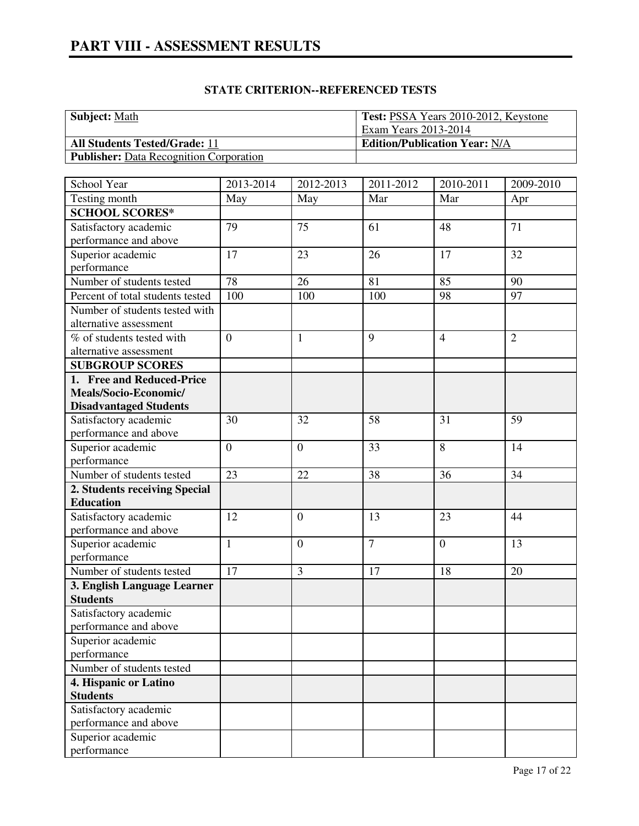# **STATE CRITERION--REFERENCED TESTS**

| <b>Subject: Math</b>                           | Test: PSSA Years 2010-2012, Keystone |
|------------------------------------------------|--------------------------------------|
|                                                | Exam Years 2013-2014                 |
| <b>All Students Tested/Grade: 11</b>           | <b>Edition/Publication Year: N/A</b> |
| <b>Publisher:</b> Data Recognition Corporation |                                      |

| School Year                      | 2013-2014      | 2012-2013        | 2011-2012      | 2010-2011      | 2009-2010      |
|----------------------------------|----------------|------------------|----------------|----------------|----------------|
| Testing month                    | May            | May              | Mar            | Mar            | Apr            |
| <b>SCHOOL SCORES*</b>            |                |                  |                |                |                |
| Satisfactory academic            | 79             | 75               | 61             | 48             | 71             |
| performance and above            |                |                  |                |                |                |
| Superior academic                | 17             | 23               | 26             | 17             | 32             |
| performance                      |                |                  |                |                |                |
| Number of students tested        | 78             | 26               | 81             | 85             | 90             |
| Percent of total students tested | 100            | 100              | 100            | 98             | 97             |
| Number of students tested with   |                |                  |                |                |                |
| alternative assessment           |                |                  |                |                |                |
| % of students tested with        | $\overline{0}$ | $\mathbf{1}$     | 9              | $\overline{4}$ | $\overline{2}$ |
| alternative assessment           |                |                  |                |                |                |
| <b>SUBGROUP SCORES</b>           |                |                  |                |                |                |
| 1. Free and Reduced-Price        |                |                  |                |                |                |
| Meals/Socio-Economic/            |                |                  |                |                |                |
| <b>Disadvantaged Students</b>    |                |                  |                |                |                |
| Satisfactory academic            | 30             | 32               | 58             | 31             | 59             |
| performance and above            |                |                  |                |                |                |
| Superior academic                | $\overline{0}$ | $\overline{0}$   | 33             | 8              | 14             |
| performance                      |                |                  |                |                |                |
| Number of students tested        | 23             | 22               | 38             | 36             | 34             |
| 2. Students receiving Special    |                |                  |                |                |                |
| <b>Education</b>                 |                |                  |                |                |                |
| Satisfactory academic            | 12             | $\boldsymbol{0}$ | 13             | 23             | 44             |
| performance and above            |                |                  |                |                |                |
| Superior academic                | $\mathbf{1}$   | $\overline{0}$   | $\overline{7}$ | $\overline{0}$ | 13             |
| performance                      |                |                  |                |                |                |
| Number of students tested        | 17             | 3                | 17             | 18             | 20             |
| 3. English Language Learner      |                |                  |                |                |                |
| <b>Students</b>                  |                |                  |                |                |                |
| Satisfactory academic            |                |                  |                |                |                |
| performance and above            |                |                  |                |                |                |
| Superior academic                |                |                  |                |                |                |
| performance                      |                |                  |                |                |                |
| Number of students tested        |                |                  |                |                |                |
| 4. Hispanic or Latino            |                |                  |                |                |                |
| <b>Students</b>                  |                |                  |                |                |                |
| Satisfactory academic            |                |                  |                |                |                |
| performance and above            |                |                  |                |                |                |
| Superior academic                |                |                  |                |                |                |
| performance                      |                |                  |                |                |                |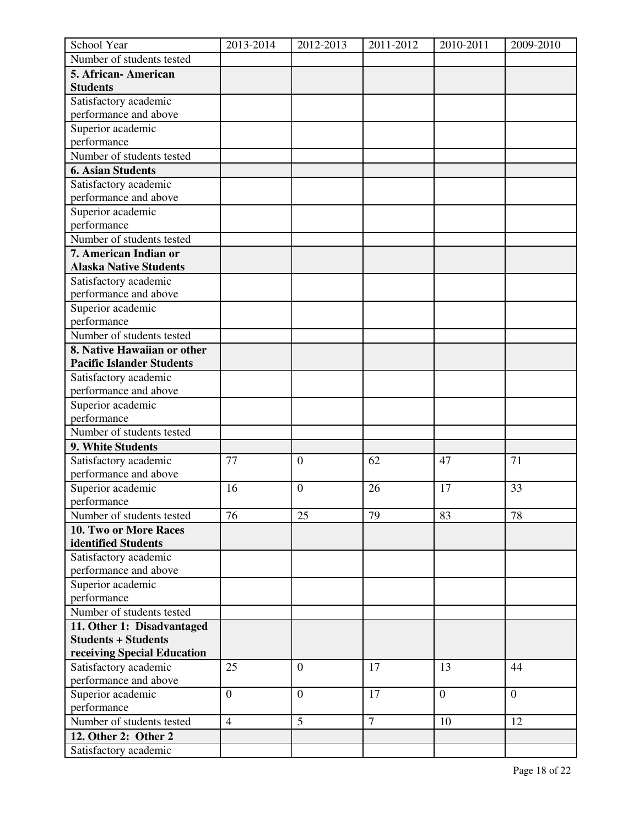| School Year                      | 2013-2014      | 2012-2013        | 2011-2012 | 2010-2011      | 2009-2010      |
|----------------------------------|----------------|------------------|-----------|----------------|----------------|
| Number of students tested        |                |                  |           |                |                |
| 5. African-American              |                |                  |           |                |                |
| <b>Students</b>                  |                |                  |           |                |                |
| Satisfactory academic            |                |                  |           |                |                |
| performance and above            |                |                  |           |                |                |
| Superior academic                |                |                  |           |                |                |
| performance                      |                |                  |           |                |                |
| Number of students tested        |                |                  |           |                |                |
| <b>6. Asian Students</b>         |                |                  |           |                |                |
| Satisfactory academic            |                |                  |           |                |                |
| performance and above            |                |                  |           |                |                |
| Superior academic                |                |                  |           |                |                |
| performance                      |                |                  |           |                |                |
| Number of students tested        |                |                  |           |                |                |
| 7. American Indian or            |                |                  |           |                |                |
| <b>Alaska Native Students</b>    |                |                  |           |                |                |
| Satisfactory academic            |                |                  |           |                |                |
| performance and above            |                |                  |           |                |                |
| Superior academic                |                |                  |           |                |                |
| performance                      |                |                  |           |                |                |
| Number of students tested        |                |                  |           |                |                |
| 8. Native Hawaiian or other      |                |                  |           |                |                |
| <b>Pacific Islander Students</b> |                |                  |           |                |                |
| Satisfactory academic            |                |                  |           |                |                |
| performance and above            |                |                  |           |                |                |
| Superior academic                |                |                  |           |                |                |
| performance                      |                |                  |           |                |                |
| Number of students tested        |                |                  |           |                |                |
| 9. White Students                |                |                  |           |                |                |
| Satisfactory academic            | 77             | $\boldsymbol{0}$ | 62        | 47             | 71             |
| performance and above            |                |                  |           |                |                |
| Superior academic                | 16             | $\boldsymbol{0}$ | 26        | 17             | 33             |
| performance                      |                |                  |           |                |                |
| Number of students tested        | 76             | 25               | 79        | 83             | 78             |
| 10. Two or More Races            |                |                  |           |                |                |
| identified Students              |                |                  |           |                |                |
| Satisfactory academic            |                |                  |           |                |                |
| performance and above            |                |                  |           |                |                |
| Superior academic                |                |                  |           |                |                |
| performance                      |                |                  |           |                |                |
| Number of students tested        |                |                  |           |                |                |
| 11. Other 1: Disadvantaged       |                |                  |           |                |                |
| <b>Students + Students</b>       |                |                  |           |                |                |
| receiving Special Education      |                |                  |           |                |                |
| Satisfactory academic            | 25             | $\boldsymbol{0}$ | 17        | 13             | 44             |
| performance and above            |                |                  |           |                |                |
| Superior academic                | $\overline{0}$ | $\overline{0}$   | 17        | $\overline{0}$ | $\overline{0}$ |
| performance                      |                |                  |           |                |                |
| Number of students tested        | $\overline{4}$ | 5                | $\tau$    | 10             | 12             |
| 12. Other 2: Other 2             |                |                  |           |                |                |
| Satisfactory academic            |                |                  |           |                |                |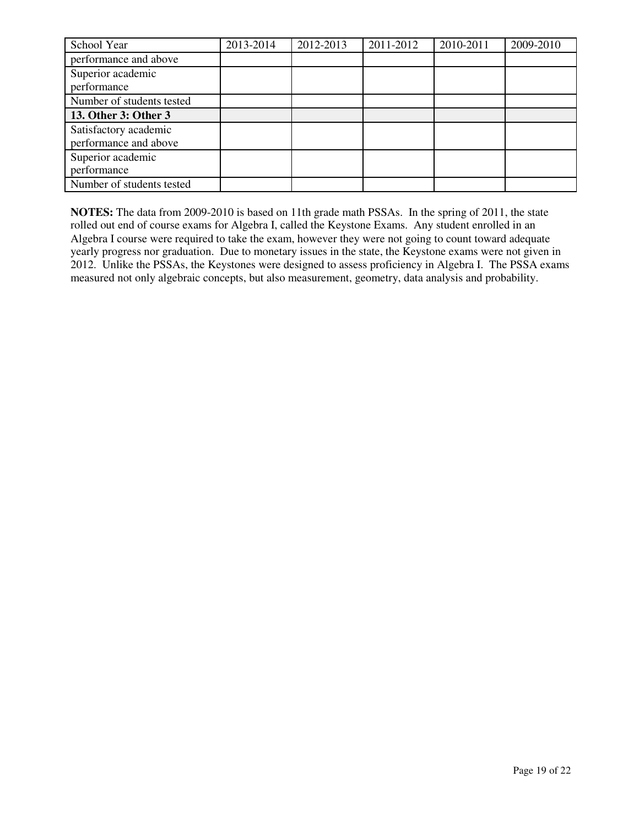| School Year               | 2013-2014 | 2012-2013 | 2011-2012 | 2010-2011 | 2009-2010 |
|---------------------------|-----------|-----------|-----------|-----------|-----------|
| performance and above     |           |           |           |           |           |
| Superior academic         |           |           |           |           |           |
| performance               |           |           |           |           |           |
| Number of students tested |           |           |           |           |           |
| 13. Other 3: Other 3      |           |           |           |           |           |
| Satisfactory academic     |           |           |           |           |           |
| performance and above     |           |           |           |           |           |
| Superior academic         |           |           |           |           |           |
| performance               |           |           |           |           |           |
| Number of students tested |           |           |           |           |           |

**NOTES:** The data from 2009-2010 is based on 11th grade math PSSAs. In the spring of 2011, the state rolled out end of course exams for Algebra I, called the Keystone Exams. Any student enrolled in an Algebra I course were required to take the exam, however they were not going to count toward adequate yearly progress nor graduation. Due to monetary issues in the state, the Keystone exams were not given in 2012. Unlike the PSSAs, the Keystones were designed to assess proficiency in Algebra I. The PSSA exams measured not only algebraic concepts, but also measurement, geometry, data analysis and probability.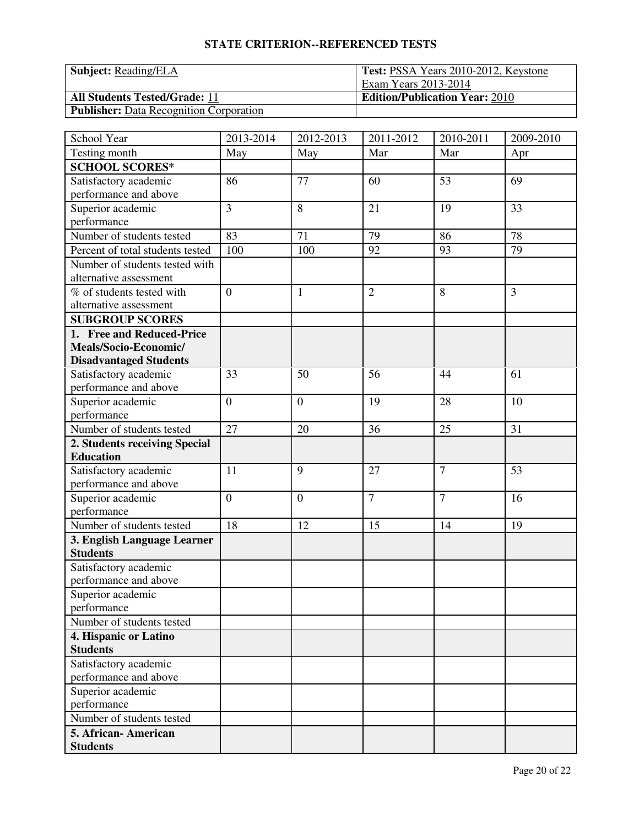# **STATE CRITERION--REFERENCED TESTS**

| <b>Subject:</b> Reading/ELA                    | <b>Test: PSSA Years 2010-2012, Keystone</b> |  |  |
|------------------------------------------------|---------------------------------------------|--|--|
|                                                | Exam Years 2013-2014                        |  |  |
| <b>All Students Tested/Grade: 11</b>           | <b>Edition/Publication Year: 2010</b>       |  |  |
| <b>Publisher:</b> Data Recognition Corporation |                                             |  |  |

| School Year                      | 2013-2014      | 2012-2013      | 2011-2012      | 2010-2011      | 2009-2010 |
|----------------------------------|----------------|----------------|----------------|----------------|-----------|
| Testing month                    | May            | May            | Mar            | Mar            | Apr       |
| <b>SCHOOL SCORES*</b>            |                |                |                |                |           |
| Satisfactory academic            | 86             | 77             | 60             | 53             | 69        |
| performance and above            |                |                |                |                |           |
| Superior academic                | $\overline{3}$ | 8              | 21             | 19             | 33        |
| performance                      |                |                |                |                |           |
| Number of students tested        | 83             | 71             | 79             | 86             | 78        |
| Percent of total students tested | 100            | 100            | 92             | 93             | 79        |
| Number of students tested with   |                |                |                |                |           |
| alternative assessment           |                |                |                |                |           |
| % of students tested with        | $\overline{0}$ | $\mathbf{1}$   | $\overline{2}$ | 8              | 3         |
| alternative assessment           |                |                |                |                |           |
| <b>SUBGROUP SCORES</b>           |                |                |                |                |           |
| 1. Free and Reduced-Price        |                |                |                |                |           |
| Meals/Socio-Economic/            |                |                |                |                |           |
| <b>Disadvantaged Students</b>    |                |                |                |                |           |
| Satisfactory academic            | 33             | 50             | 56             | 44             | 61        |
| performance and above            |                |                |                |                |           |
| Superior academic                | $\overline{0}$ | $\overline{0}$ | 19             | 28             | 10        |
| performance                      |                |                |                |                |           |
| Number of students tested        | 27             | 20             | 36             | 25             | 31        |
| 2. Students receiving Special    |                |                |                |                |           |
| <b>Education</b>                 |                |                |                |                |           |
| Satisfactory academic            | 11             | 9              | 27             | $\overline{7}$ | 53        |
| performance and above            |                |                |                |                |           |
| Superior academic                | $\overline{0}$ | $\overline{0}$ | $\overline{7}$ | $\overline{7}$ | 16        |
| performance                      |                |                |                |                |           |
| Number of students tested        | 18             | 12             | 15             | 14             | 19        |
| 3. English Language Learner      |                |                |                |                |           |
| <b>Students</b>                  |                |                |                |                |           |
| Satisfactory academic            |                |                |                |                |           |
| performance and above            |                |                |                |                |           |
| Superior academic                |                |                |                |                |           |
| performance                      |                |                |                |                |           |
| Number of students tested        |                |                |                |                |           |
| 4. Hispanic or Latino            |                |                |                |                |           |
| <b>Students</b>                  |                |                |                |                |           |
| Satisfactory academic            |                |                |                |                |           |
| performance and above            |                |                |                |                |           |
| Superior academic                |                |                |                |                |           |
| performance                      |                |                |                |                |           |
| Number of students tested        |                |                |                |                |           |
| 5. African- American             |                |                |                |                |           |
| <b>Students</b>                  |                |                |                |                |           |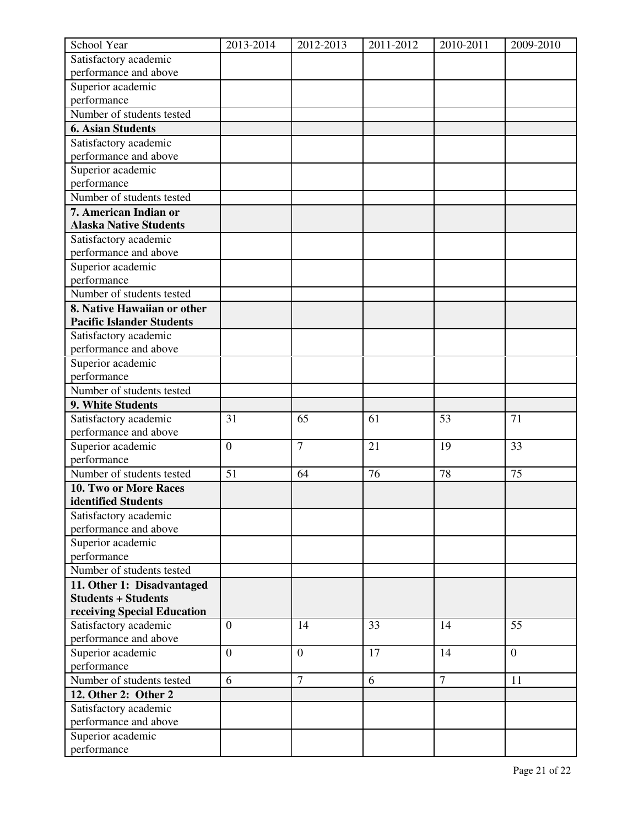| School Year                                    | 2013-2014        | 2012-2013      | 2011-2012 | 2010-2011      | 2009-2010      |
|------------------------------------------------|------------------|----------------|-----------|----------------|----------------|
| Satisfactory academic                          |                  |                |           |                |                |
| performance and above                          |                  |                |           |                |                |
| Superior academic                              |                  |                |           |                |                |
| performance                                    |                  |                |           |                |                |
| Number of students tested                      |                  |                |           |                |                |
| <b>6. Asian Students</b>                       |                  |                |           |                |                |
| Satisfactory academic                          |                  |                |           |                |                |
| performance and above                          |                  |                |           |                |                |
| Superior academic                              |                  |                |           |                |                |
| performance                                    |                  |                |           |                |                |
| Number of students tested                      |                  |                |           |                |                |
| 7. American Indian or                          |                  |                |           |                |                |
| <b>Alaska Native Students</b>                  |                  |                |           |                |                |
| Satisfactory academic                          |                  |                |           |                |                |
| performance and above                          |                  |                |           |                |                |
| Superior academic                              |                  |                |           |                |                |
| performance                                    |                  |                |           |                |                |
| Number of students tested                      |                  |                |           |                |                |
| 8. Native Hawaiian or other                    |                  |                |           |                |                |
| <b>Pacific Islander Students</b>               |                  |                |           |                |                |
| Satisfactory academic                          |                  |                |           |                |                |
| performance and above                          |                  |                |           |                |                |
| Superior academic                              |                  |                |           |                |                |
| performance                                    |                  |                |           |                |                |
| Number of students tested                      |                  |                |           |                |                |
| 9. White Students                              |                  |                |           |                |                |
| Satisfactory academic                          | 31               | 65             | 61        | 53             | 71             |
| performance and above                          |                  |                |           |                |                |
| Superior academic                              | $\boldsymbol{0}$ | $\overline{7}$ | 21        | 19             | 33             |
| performance                                    |                  |                |           |                |                |
| Number of students tested                      | 51               | 64             | 76        | 78             | 75             |
| 10. Two or More Races                          |                  |                |           |                |                |
| identified Students                            |                  |                |           |                |                |
| Satisfactory academic<br>performance and above |                  |                |           |                |                |
| Superior academic                              |                  |                |           |                |                |
| performance                                    |                  |                |           |                |                |
| Number of students tested                      |                  |                |           |                |                |
| 11. Other 1: Disadvantaged                     |                  |                |           |                |                |
| <b>Students + Students</b>                     |                  |                |           |                |                |
| receiving Special Education                    |                  |                |           |                |                |
| Satisfactory academic                          | $\overline{0}$   | 14             | 33        | 14             | 55             |
| performance and above                          |                  |                |           |                |                |
| Superior academic                              | $\boldsymbol{0}$ | $\overline{0}$ | 17        | 14             | $\overline{0}$ |
| performance                                    |                  |                |           |                |                |
| Number of students tested                      | 6                | $\overline{7}$ | 6         | $\overline{7}$ | 11             |
| 12. Other 2: Other 2                           |                  |                |           |                |                |
| Satisfactory academic                          |                  |                |           |                |                |
| performance and above                          |                  |                |           |                |                |
| Superior academic                              |                  |                |           |                |                |
| performance                                    |                  |                |           |                |                |